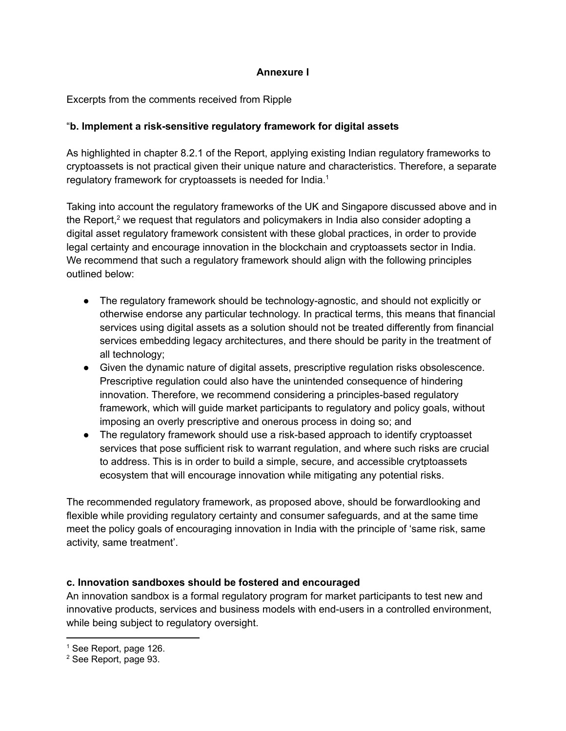# **Annexure I**

## Excerpts from the comments received from Ripple

## "**b. Implement a risk-sensitive regulatory framework for digital assets**

As highlighted in chapter 8.2.1 of the Report, applying existing Indian regulatory frameworks to cryptoassets is not practical given their unique nature and characteristics. Therefore, a separate regulatory framework for cryptoassets is needed for India.<sup>1</sup>

Taking into account the regulatory frameworks of the UK and Singapore discussed above and in the Report,<sup>2</sup> we request that regulators and policymakers in India also consider adopting a digital asset regulatory framework consistent with these global practices, in order to provide legal certainty and encourage innovation in the blockchain and cryptoassets sector in India. We recommend that such a regulatory framework should align with the following principles outlined below:

- The regulatory framework should be technology-agnostic, and should not explicitly or otherwise endorse any particular technology. In practical terms, this means that financial services using digital assets as a solution should not be treated differently from financial services embedding legacy architectures, and there should be parity in the treatment of all technology;
- Given the dynamic nature of digital assets, prescriptive regulation risks obsolescence. Prescriptive regulation could also have the unintended consequence of hindering innovation. Therefore, we recommend considering a principles-based regulatory framework, which will guide market participants to regulatory and policy goals, without imposing an overly prescriptive and onerous process in doing so; and
- The regulatory framework should use a risk-based approach to identify cryptoasset services that pose sufficient risk to warrant regulation, and where such risks are crucial to address. This is in order to build a simple, secure, and accessible crytptoassets ecosystem that will encourage innovation while mitigating any potential risks.

The recommended regulatory framework, as proposed above, should be forwardlooking and flexible while providing regulatory certainty and consumer safeguards, and at the same time meet the policy goals of encouraging innovation in India with the principle of 'same risk, same activity, same treatment'.

### **c. Innovation sandboxes should be fostered and encouraged**

An innovation sandbox is a formal regulatory program for market participants to test new and innovative products, services and business models with end-users in a controlled environment, while being subject to regulatory oversight.

<sup>&</sup>lt;sup>1</sup> See Report, page 126.

<sup>2</sup> See Report, page 93.